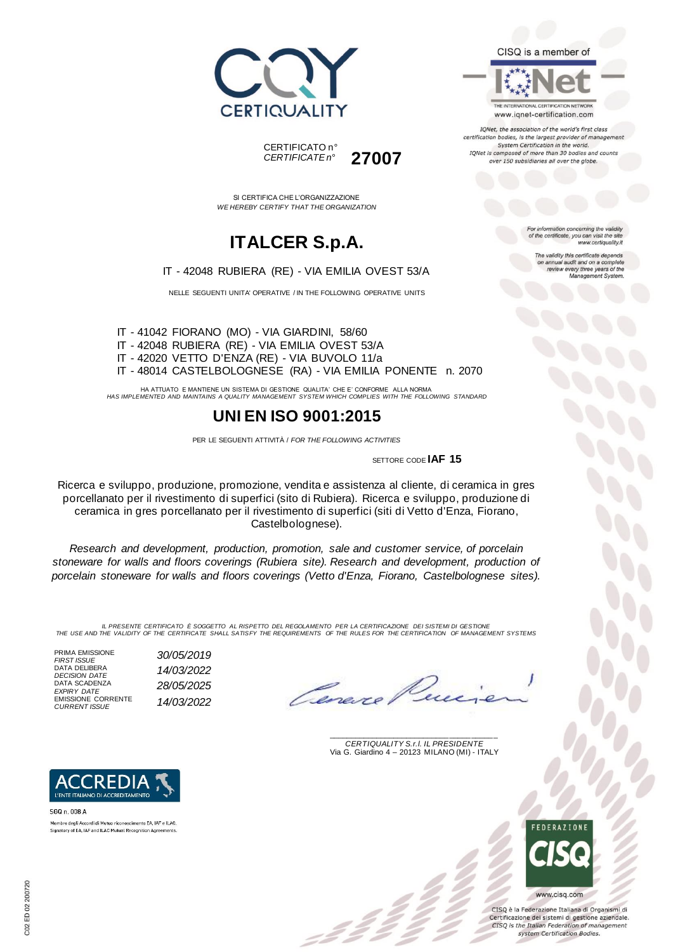



SI CERTIFICA CHE L'ORGANIZZAZIONE *WE HEREBY CERTIFY THAT THE ORGANIZATION*

## **ITALCER S.p.A.**

IT - 42048 RUBIERA (RE) - VIA EMILIA OVEST 53/A

NELLE SEGUENTI UNITA' OPERATIVE / IN THE FOLLOWING OPERATIVE UNITS

IT - 41042 FIORANO (MO) - VIA GIARDINI, 58/60 IT - 42048 RUBIERA (RE) - VIA EMILIA OVEST 53/A IT - 42020 VETTO D'ENZA (RE) - VIA BUVOLO 11/a IT - 48014 CASTELBOLOGNESE (RA) - VIA EMILIA PONENTE n. 2070

HA ATTUATO E MANTIENE UN SISTEMA DI GESTIONE QUALITA' CHE E' CONFORME ALLA NORMA *HAS IMPLEMENTED AND MAINTAINS A QUALITY MANAGEMENT SYSTEM WHICH COMPLIES WITH THE FOLLOWING STANDARD*

### **UNI EN ISO 9001:2015**

PER LE SEGUENTI ATTIVITÀ / *FOR THE FOLLOWING ACTIVITIES*

SETTORE CODE **IAF 15**

Ricerca e sviluppo, produzione, promozione, vendita e assistenza al cliente, di ceramica in gres porcellanato per il rivestimento di superfici (sito di Rubiera). Ricerca e sviluppo, produzione di ceramica in gres porcellanato per il rivestimento di superfici (siti di Vetto d'Enza, Fiorano, Castelbolognese).

*Research and development, production, promotion, sale and customer service, of porcelain stoneware for walls and floors coverings (Rubiera site). Research and development, production of porcelain stoneware for walls and floors coverings (Vetto d'Enza, Fiorano, Castelbolognese sites).*

*IL PRESENTE CERTIFICATO È SOGGETTO AL RISPETTO DEL REGOLAMENTO PER LA CERTIFICAZIONE DEI SISTEMI DI GESTIONE THE USE AND THE VALIDITY OF THE CERTIFICATE SHALL SATISFY THE REQUIREMENTS OF THE RULES FOR THE CERTIFICATION OF MANAGEMENT SYSTEMS*

PRIMA EMISSIONE *FIRST ISSUE 30/05/2019* DATA DELIBERA *DECISION DATE 14/03/2022* DATA SCADENZA *EXPIRY DATE 28/05/2025* EMISSIONE CORRENTE *CURRENT ISSUE 14/03/2022*

**REDI** L'ENTE ITALIANO DI ACCREDITAMENTO

Membro degli Accordi di Mutuo riconoscimento EA, IAF e ILAC.

Signatory of EA, IAF and ILAC Mutual Recognition Agreements

SGQ n. 008 A

Cane.

\_\_\_\_\_\_\_\_\_\_\_\_\_\_\_\_\_\_\_\_\_\_\_\_\_\_\_\_\_\_\_\_\_\_\_\_\_\_\_ *CERTIQUALITY S.r.l. IL PRESIDENTE* Via G. Giardino 4 – 20123 MILANO (MI) - ITALY



CISQ è la Federazione Italiana di Organismi di Certificazione dei sistemi di gestione aziendale. CISQ is the Italian Federation of management system Certification Bodies.



IQNet, the association of the world's first class certification bodies, is the largest provider of management

System Certification in the world. IQNet is composed of more than 30 bodies and counts over 150 subsidiaries all over the globe.

> For information concerning the validity<br>of the certificate, you can visit the site www.certiquality.it

> > The validity this certificate depends on annual audit and on a complete<br>review every three years of the<br>Management System.